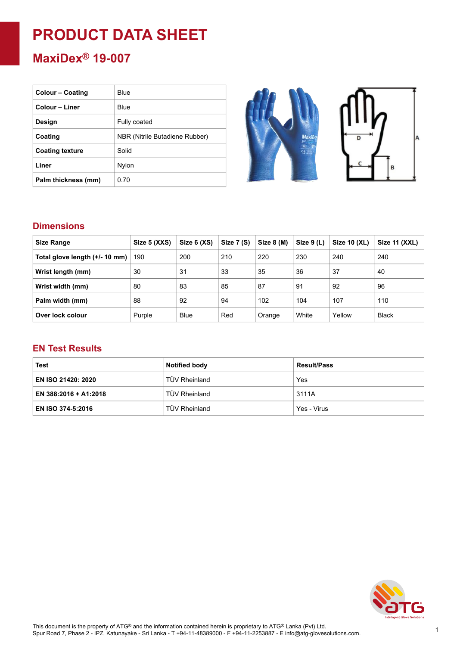# **PRODUCT DATA SHEET**

### **MaxiDex® 19-007**

| <b>Colour – Coating</b> | Blue                           |
|-------------------------|--------------------------------|
| Colour - Liner          | Blue                           |
| Design                  | Fully coated                   |
| Coating                 | NBR (Nitrile Butadiene Rubber) |
| <b>Coating texture</b>  | Solid                          |
| Liner                   | Nylon                          |
| Palm thickness (mm)     | 0.70                           |



#### **Dimensions**

| <b>Size Range</b>              | Size 5 (XXS) | Size 6 (XS) | Size 7 (S) | Size 8 (M) | Size 9 (L) | Size 10 (XL) | Size $11$ (XXL) |
|--------------------------------|--------------|-------------|------------|------------|------------|--------------|-----------------|
| Total glove length (+/- 10 mm) | 190          | 200         | 210        | 220        | 230        | 240          | 240             |
| Wrist length (mm)              | 30           | 31          | 33         | 35         | 36         | 37           | 40              |
| Wrist width (mm)               | 80           | 83          | 85         | 87         | 91         | 92           | 96              |
| Palm width (mm)                | 88           | 92          | 94         | 102        | 104        | 107          | 110             |
| Over lock colour               | Purple       | <b>Blue</b> | Red        | Orange     | White      | Yellow       | <b>Black</b>    |

#### **EN Test Results**

| Test                      | <b>Notified body</b> | <b>Result/Pass</b> |  |
|---------------------------|----------------------|--------------------|--|
| <b>EN ISO 21420: 2020</b> | TÜV Rheinland        | Yes                |  |
| EN 388:2016 + A1:2018     | TÜV Rheinland        | 3111A              |  |
| EN ISO 374-5:2016         | TÜV Rheinland        | Yes - Virus        |  |

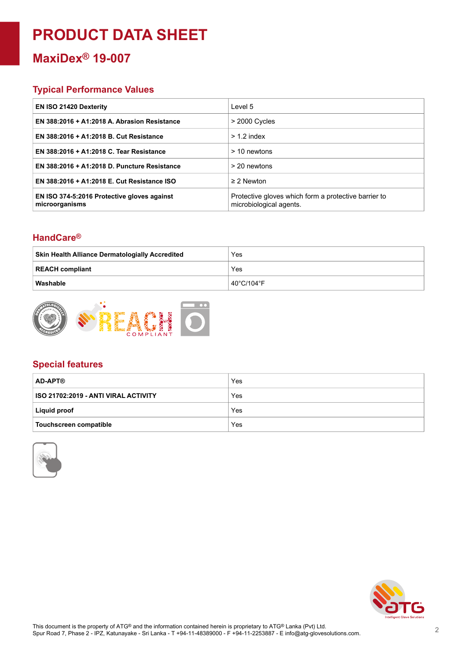## **PRODUCT DATA SHEET**

### **MaxiDex® 19-007**

#### **Typical Performance Values**

| <b>EN ISO 21420 Dexterity</b>                                 | Level 5                                                                         |
|---------------------------------------------------------------|---------------------------------------------------------------------------------|
| EN 388:2016 + A1:2018 A. Abrasion Resistance                  | $>$ 2000 Cycles                                                                 |
| EN 388:2016 + A1:2018 B. Cut Resistance                       | $> 1.2$ index                                                                   |
| EN 388:2016 + A1:2018 C. Tear Resistance                      | > 10 newtons                                                                    |
| EN 388:2016 + A1:2018 D. Puncture Resistance                  | $>$ 20 newtons                                                                  |
| EN 388:2016 + A1:2018 E. Cut Resistance ISO                   | $\geq$ 2 Newton                                                                 |
| EN ISO 374-5:2016 Protective gloves against<br>microorganisms | Protective gloves which form a protective barrier to<br>microbiological agents. |

#### **HandCare ®**

| <b>Skin Health Alliance Dermatologially Accredited</b> | Yes        |
|--------------------------------------------------------|------------|
| REACH compliant                                        | Yes        |
| Washable                                               | 40°C/104°F |



#### **Special features**

| <b>AD-APT®</b>                       | Yes |
|--------------------------------------|-----|
| ISO 21702:2019 - ANTI VIRAL ACTIVITY | Yes |
| Liquid proof                         | Yes |
| <b>Touchscreen compatible</b>        | Yes |